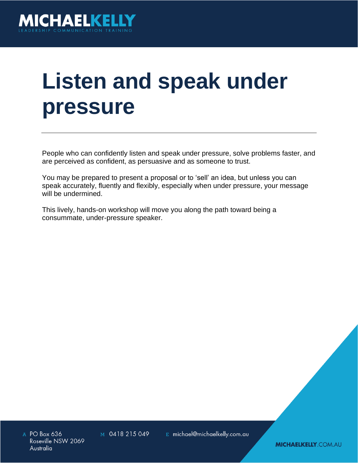

# **Listen and speak under pressure**

People who can confidently listen and speak under pressure, solve problems faster, and are perceived as confident, as persuasive and as someone to trust.

You may be prepared to present a proposal or to 'sell' an idea, but unless you can speak accurately, fluently and flexibly, especially when under pressure, your message will be undermined.

This lively, hands-on workshop will move you along the path toward being a consummate, under-pressure speaker.

A PO Box 636 Roseville NSW 2069 Australia

M 0418 215 049

E michael@michaelkelly.com.au

**MICHAELKELLY.COM.AU**